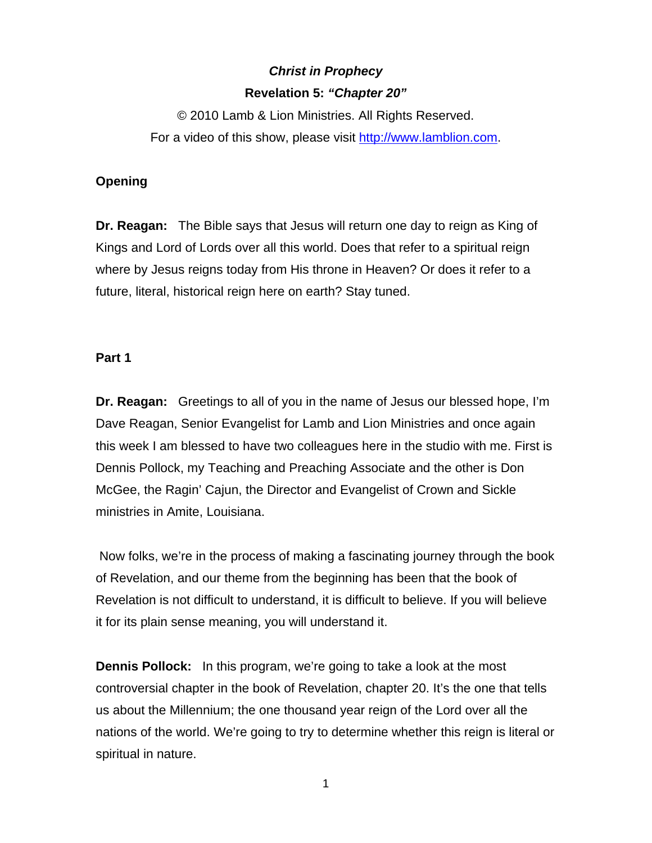# *Christ in Prophecy*  **Revelation 5:** *"Chapter 20"*

© 2010 Lamb & Lion Ministries. All Rights Reserved. For a video of this show, please visit [http://www.lamblion.com](http://www.lamblion.com/).

# **Opening**

**Dr. Reagan:** The Bible says that Jesus will return one day to reign as King of Kings and Lord of Lords over all this world. Does that refer to a spiritual reign where by Jesus reigns today from His throne in Heaven? Or does it refer to a future, literal, historical reign here on earth? Stay tuned.

# **Part 1**

**Dr. Reagan:** Greetings to all of you in the name of Jesus our blessed hope, I'm Dave Reagan, Senior Evangelist for Lamb and Lion Ministries and once again this week I am blessed to have two colleagues here in the studio with me. First is Dennis Pollock, my Teaching and Preaching Associate and the other is Don McGee, the Ragin' Cajun, the Director and Evangelist of Crown and Sickle ministries in Amite, Louisiana.

 Now folks, we're in the process of making a fascinating journey through the book of Revelation, and our theme from the beginning has been that the book of Revelation is not difficult to understand, it is difficult to believe. If you will believe it for its plain sense meaning, you will understand it.

**Dennis Pollock:** In this program, we're going to take a look at the most controversial chapter in the book of Revelation, chapter 20. It's the one that tells us about the Millennium; the one thousand year reign of the Lord over all the nations of the world. We're going to try to determine whether this reign is literal or spiritual in nature.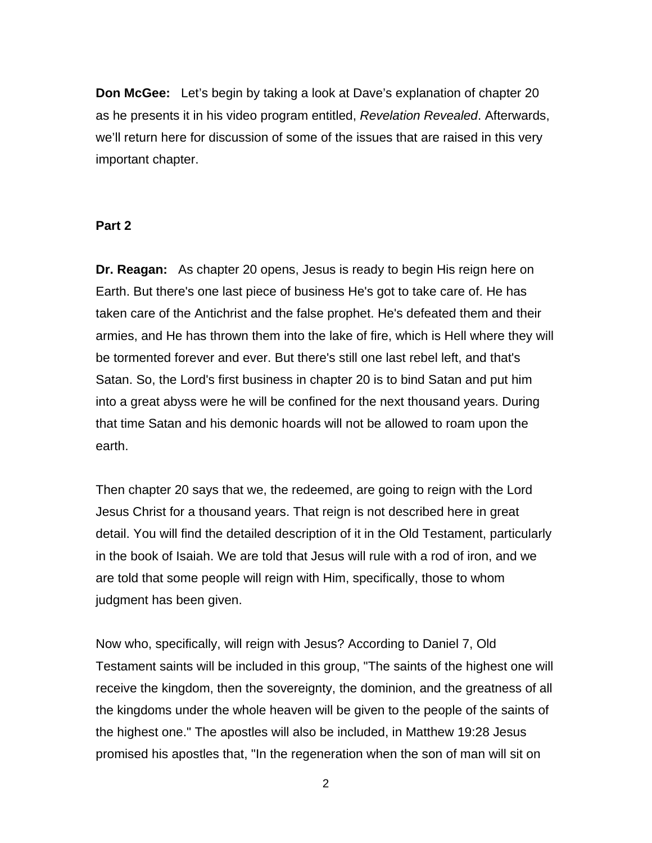**Don McGee:** Let's begin by taking a look at Dave's explanation of chapter 20 as he presents it in his video program entitled, *Revelation Revealed*. Afterwards, we'll return here for discussion of some of the issues that are raised in this very important chapter.

#### **Part 2**

**Dr. Reagan:** As chapter 20 opens, Jesus is ready to begin His reign here on Earth. But there's one last piece of business He's got to take care of. He has taken care of the Antichrist and the false prophet. He's defeated them and their armies, and He has thrown them into the lake of fire, which is Hell where they will be tormented forever and ever. But there's still one last rebel left, and that's Satan. So, the Lord's first business in chapter 20 is to bind Satan and put him into a great abyss were he will be confined for the next thousand years. During that time Satan and his demonic hoards will not be allowed to roam upon the earth.

Then chapter 20 says that we, the redeemed, are going to reign with the Lord Jesus Christ for a thousand years. That reign is not described here in great detail. You will find the detailed description of it in the Old Testament, particularly in the book of Isaiah. We are told that Jesus will rule with a rod of iron, and we are told that some people will reign with Him, specifically, those to whom judgment has been given.

Now who, specifically, will reign with Jesus? According to Daniel 7, Old Testament saints will be included in this group, "The saints of the highest one will receive the kingdom, then the sovereignty, the dominion, and the greatness of all the kingdoms under the whole heaven will be given to the people of the saints of the highest one." The apostles will also be included, in Matthew 19:28 Jesus promised his apostles that, "In the regeneration when the son of man will sit on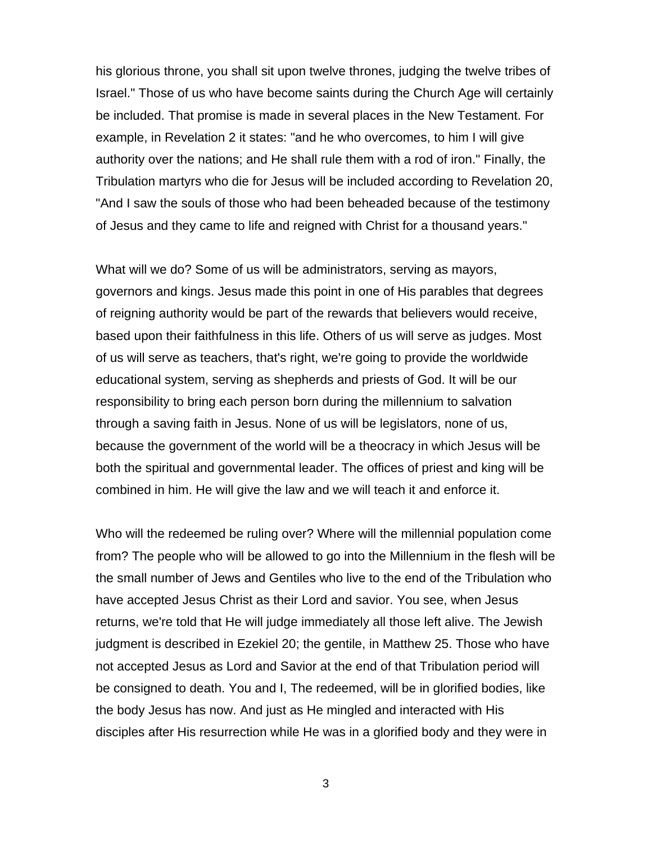his glorious throne, you shall sit upon twelve thrones, judging the twelve tribes of Israel." Those of us who have become saints during the Church Age will certainly be included. That promise is made in several places in the New Testament. For example, in Revelation 2 it states: "and he who overcomes, to him I will give authority over the nations; and He shall rule them with a rod of iron." Finally, the Tribulation martyrs who die for Jesus will be included according to Revelation 20, "And I saw the souls of those who had been beheaded because of the testimony of Jesus and they came to life and reigned with Christ for a thousand years."

What will we do? Some of us will be administrators, serving as mayors, governors and kings. Jesus made this point in one of His parables that degrees of reigning authority would be part of the rewards that believers would receive, based upon their faithfulness in this life. Others of us will serve as judges. Most of us will serve as teachers, that's right, we're going to provide the worldwide educational system, serving as shepherds and priests of God. It will be our responsibility to bring each person born during the millennium to salvation through a saving faith in Jesus. None of us will be legislators, none of us, because the government of the world will be a theocracy in which Jesus will be both the spiritual and governmental leader. The offices of priest and king will be combined in him. He will give the law and we will teach it and enforce it.

Who will the redeemed be ruling over? Where will the millennial population come from? The people who will be allowed to go into the Millennium in the flesh will be the small number of Jews and Gentiles who live to the end of the Tribulation who have accepted Jesus Christ as their Lord and savior. You see, when Jesus returns, we're told that He will judge immediately all those left alive. The Jewish judgment is described in Ezekiel 20; the gentile, in Matthew 25. Those who have not accepted Jesus as Lord and Savior at the end of that Tribulation period will be consigned to death. You and I, The redeemed, will be in glorified bodies, like the body Jesus has now. And just as He mingled and interacted with His disciples after His resurrection while He was in a glorified body and they were in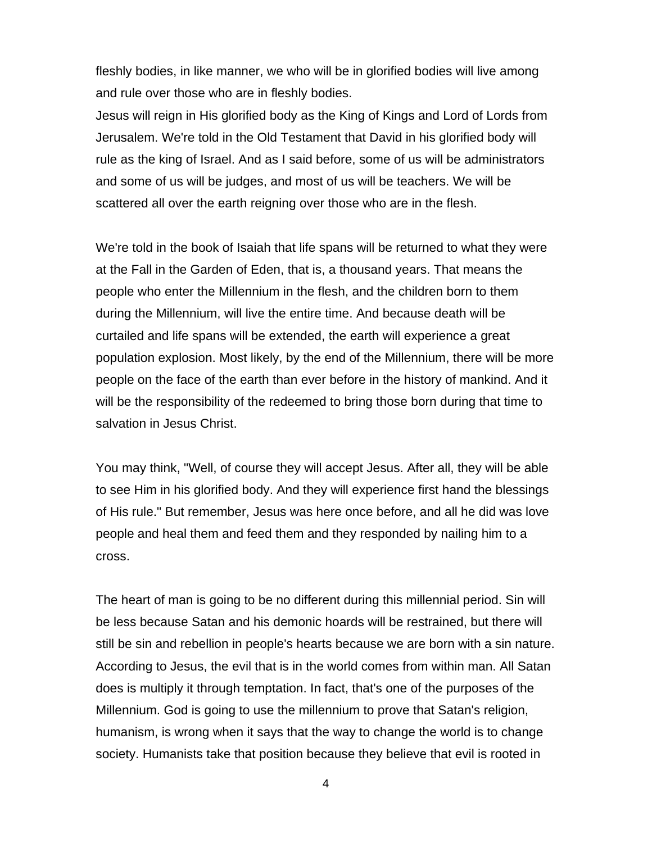fleshly bodies, in like manner, we who will be in glorified bodies will live among and rule over those who are in fleshly bodies.

Jesus will reign in His glorified body as the King of Kings and Lord of Lords from Jerusalem. We're told in the Old Testament that David in his glorified body will rule as the king of Israel. And as I said before, some of us will be administrators and some of us will be judges, and most of us will be teachers. We will be scattered all over the earth reigning over those who are in the flesh.

We're told in the book of Isaiah that life spans will be returned to what they were at the Fall in the Garden of Eden, that is, a thousand years. That means the people who enter the Millennium in the flesh, and the children born to them during the Millennium, will live the entire time. And because death will be curtailed and life spans will be extended, the earth will experience a great population explosion. Most likely, by the end of the Millennium, there will be more people on the face of the earth than ever before in the history of mankind. And it will be the responsibility of the redeemed to bring those born during that time to salvation in Jesus Christ.

You may think, "Well, of course they will accept Jesus. After all, they will be able to see Him in his glorified body. And they will experience first hand the blessings of His rule." But remember, Jesus was here once before, and all he did was love people and heal them and feed them and they responded by nailing him to a cross.

The heart of man is going to be no different during this millennial period. Sin will be less because Satan and his demonic hoards will be restrained, but there will still be sin and rebellion in people's hearts because we are born with a sin nature. According to Jesus, the evil that is in the world comes from within man. All Satan does is multiply it through temptation. In fact, that's one of the purposes of the Millennium. God is going to use the millennium to prove that Satan's religion, humanism, is wrong when it says that the way to change the world is to change society. Humanists take that position because they believe that evil is rooted in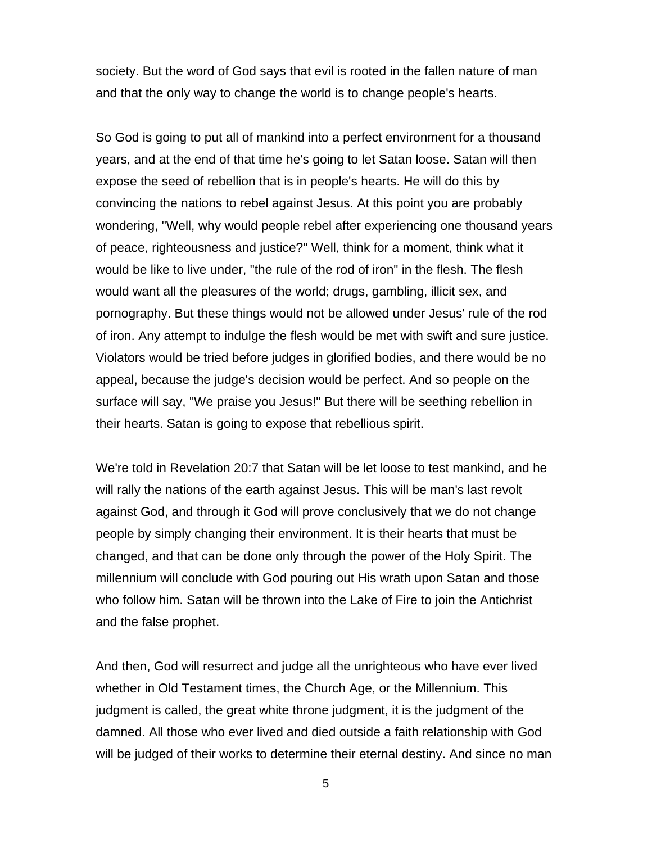society. But the word of God says that evil is rooted in the fallen nature of man and that the only way to change the world is to change people's hearts.

So God is going to put all of mankind into a perfect environment for a thousand years, and at the end of that time he's going to let Satan loose. Satan will then expose the seed of rebellion that is in people's hearts. He will do this by convincing the nations to rebel against Jesus. At this point you are probably wondering, "Well, why would people rebel after experiencing one thousand years of peace, righteousness and justice?" Well, think for a moment, think what it would be like to live under, "the rule of the rod of iron" in the flesh. The flesh would want all the pleasures of the world; drugs, gambling, illicit sex, and pornography. But these things would not be allowed under Jesus' rule of the rod of iron. Any attempt to indulge the flesh would be met with swift and sure justice. Violators would be tried before judges in glorified bodies, and there would be no appeal, because the judge's decision would be perfect. And so people on the surface will say, "We praise you Jesus!" But there will be seething rebellion in their hearts. Satan is going to expose that rebellious spirit.

We're told in Revelation 20:7 that Satan will be let loose to test mankind, and he will rally the nations of the earth against Jesus. This will be man's last revolt against God, and through it God will prove conclusively that we do not change people by simply changing their environment. It is their hearts that must be changed, and that can be done only through the power of the Holy Spirit. The millennium will conclude with God pouring out His wrath upon Satan and those who follow him. Satan will be thrown into the Lake of Fire to join the Antichrist and the false prophet.

And then, God will resurrect and judge all the unrighteous who have ever lived whether in Old Testament times, the Church Age, or the Millennium. This judgment is called, the great white throne judgment, it is the judgment of the damned. All those who ever lived and died outside a faith relationship with God will be judged of their works to determine their eternal destiny. And since no man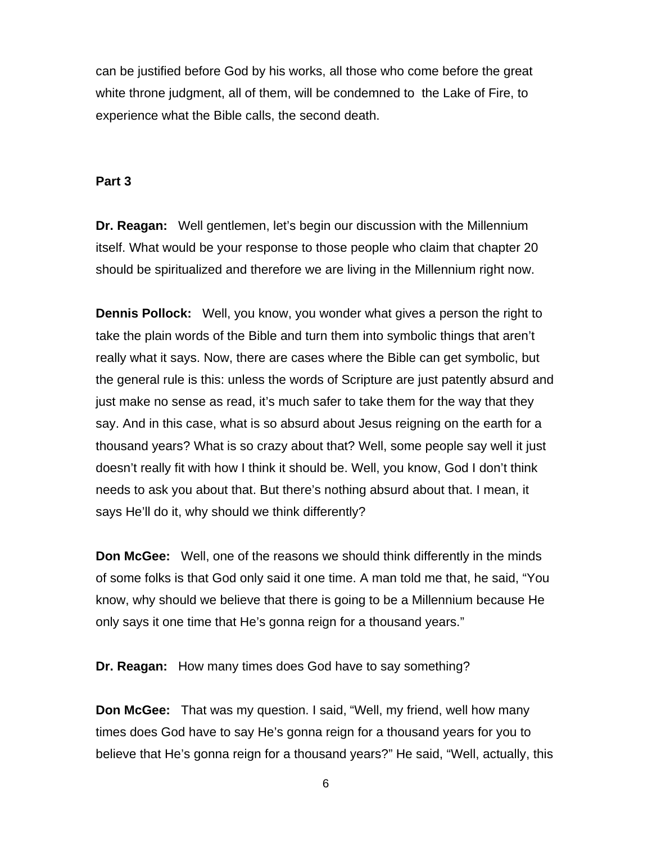can be justified before God by his works, all those who come before the great white throne judgment, all of them, will be condemned to the Lake of Fire, to experience what the Bible calls, the second death.

## **Part 3**

**Dr. Reagan:** Well gentlemen, let's begin our discussion with the Millennium itself. What would be your response to those people who claim that chapter 20 should be spiritualized and therefore we are living in the Millennium right now.

**Dennis Pollock:** Well, you know, you wonder what gives a person the right to take the plain words of the Bible and turn them into symbolic things that aren't really what it says. Now, there are cases where the Bible can get symbolic, but the general rule is this: unless the words of Scripture are just patently absurd and just make no sense as read, it's much safer to take them for the way that they say. And in this case, what is so absurd about Jesus reigning on the earth for a thousand years? What is so crazy about that? Well, some people say well it just doesn't really fit with how I think it should be. Well, you know, God I don't think needs to ask you about that. But there's nothing absurd about that. I mean, it says He'll do it, why should we think differently?

**Don McGee:** Well, one of the reasons we should think differently in the minds of some folks is that God only said it one time. A man told me that, he said, "You know, why should we believe that there is going to be a Millennium because He only says it one time that He's gonna reign for a thousand years."

**Dr. Reagan:** How many times does God have to say something?

**Don McGee:** That was my question. I said, "Well, my friend, well how many times does God have to say He's gonna reign for a thousand years for you to believe that He's gonna reign for a thousand years?" He said, "Well, actually, this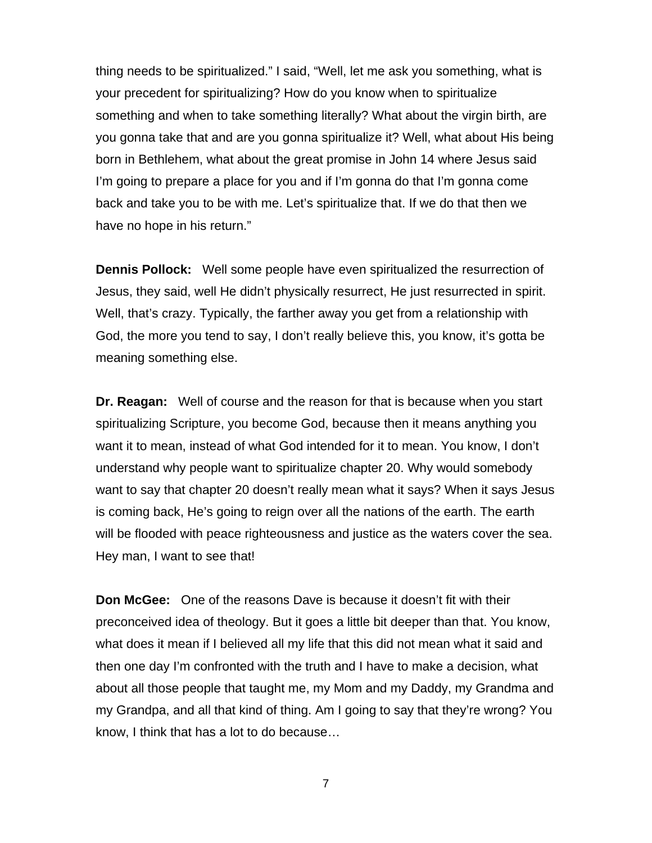thing needs to be spiritualized." I said, "Well, let me ask you something, what is your precedent for spiritualizing? How do you know when to spiritualize something and when to take something literally? What about the virgin birth, are you gonna take that and are you gonna spiritualize it? Well, what about His being born in Bethlehem, what about the great promise in John 14 where Jesus said I'm going to prepare a place for you and if I'm gonna do that I'm gonna come back and take you to be with me. Let's spiritualize that. If we do that then we have no hope in his return."

**Dennis Pollock:** Well some people have even spiritualized the resurrection of Jesus, they said, well He didn't physically resurrect, He just resurrected in spirit. Well, that's crazy. Typically, the farther away you get from a relationship with God, the more you tend to say, I don't really believe this, you know, it's gotta be meaning something else.

**Dr. Reagan:** Well of course and the reason for that is because when you start spiritualizing Scripture, you become God, because then it means anything you want it to mean, instead of what God intended for it to mean. You know, I don't understand why people want to spiritualize chapter 20. Why would somebody want to say that chapter 20 doesn't really mean what it says? When it says Jesus is coming back, He's going to reign over all the nations of the earth. The earth will be flooded with peace righteousness and justice as the waters cover the sea. Hey man, I want to see that!

**Don McGee:** One of the reasons Dave is because it doesn't fit with their preconceived idea of theology. But it goes a little bit deeper than that. You know, what does it mean if I believed all my life that this did not mean what it said and then one day I'm confronted with the truth and I have to make a decision, what about all those people that taught me, my Mom and my Daddy, my Grandma and my Grandpa, and all that kind of thing. Am I going to say that they're wrong? You know, I think that has a lot to do because…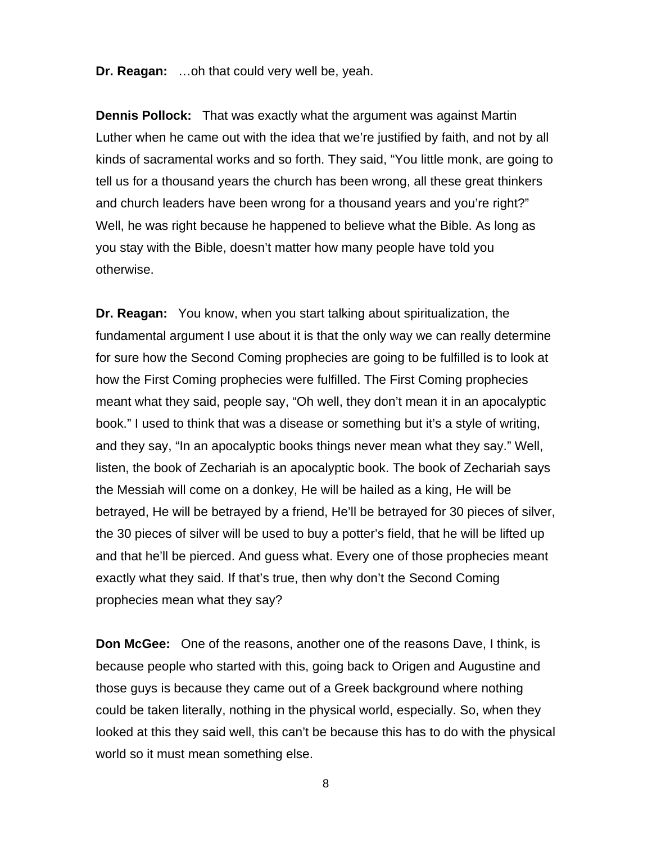**Dr. Reagan:** …oh that could very well be, yeah.

**Dennis Pollock:** That was exactly what the argument was against Martin Luther when he came out with the idea that we're justified by faith, and not by all kinds of sacramental works and so forth. They said, "You little monk, are going to tell us for a thousand years the church has been wrong, all these great thinkers and church leaders have been wrong for a thousand years and you're right?" Well, he was right because he happened to believe what the Bible. As long as you stay with the Bible, doesn't matter how many people have told you otherwise.

**Dr. Reagan:** You know, when you start talking about spiritualization, the fundamental argument I use about it is that the only way we can really determine for sure how the Second Coming prophecies are going to be fulfilled is to look at how the First Coming prophecies were fulfilled. The First Coming prophecies meant what they said, people say, "Oh well, they don't mean it in an apocalyptic book." I used to think that was a disease or something but it's a style of writing, and they say, "In an apocalyptic books things never mean what they say." Well, listen, the book of Zechariah is an apocalyptic book. The book of Zechariah says the Messiah will come on a donkey, He will be hailed as a king, He will be betrayed, He will be betrayed by a friend, He'll be betrayed for 30 pieces of silver, the 30 pieces of silver will be used to buy a potter's field, that he will be lifted up and that he'll be pierced. And guess what. Every one of those prophecies meant exactly what they said. If that's true, then why don't the Second Coming prophecies mean what they say?

**Don McGee:** One of the reasons, another one of the reasons Dave, I think, is because people who started with this, going back to Origen and Augustine and those guys is because they came out of a Greek background where nothing could be taken literally, nothing in the physical world, especially. So, when they looked at this they said well, this can't be because this has to do with the physical world so it must mean something else.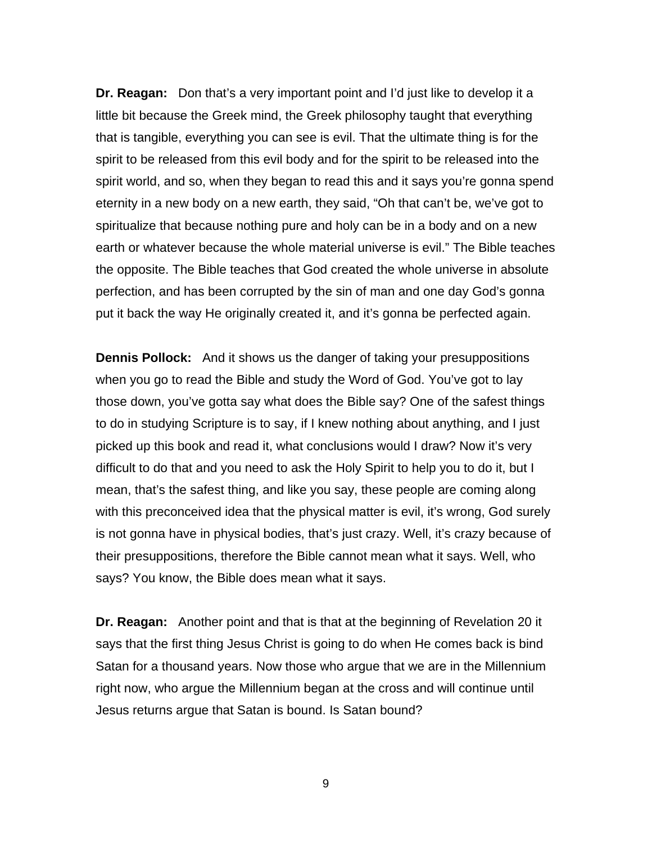**Dr. Reagan:** Don that's a very important point and I'd just like to develop it a little bit because the Greek mind, the Greek philosophy taught that everything that is tangible, everything you can see is evil. That the ultimate thing is for the spirit to be released from this evil body and for the spirit to be released into the spirit world, and so, when they began to read this and it says you're gonna spend eternity in a new body on a new earth, they said, "Oh that can't be, we've got to spiritualize that because nothing pure and holy can be in a body and on a new earth or whatever because the whole material universe is evil." The Bible teaches the opposite. The Bible teaches that God created the whole universe in absolute perfection, and has been corrupted by the sin of man and one day God's gonna put it back the way He originally created it, and it's gonna be perfected again.

**Dennis Pollock:** And it shows us the danger of taking your presuppositions when you go to read the Bible and study the Word of God. You've got to lay those down, you've gotta say what does the Bible say? One of the safest things to do in studying Scripture is to say, if I knew nothing about anything, and I just picked up this book and read it, what conclusions would I draw? Now it's very difficult to do that and you need to ask the Holy Spirit to help you to do it, but I mean, that's the safest thing, and like you say, these people are coming along with this preconceived idea that the physical matter is evil, it's wrong, God surely is not gonna have in physical bodies, that's just crazy. Well, it's crazy because of their presuppositions, therefore the Bible cannot mean what it says. Well, who says? You know, the Bible does mean what it says.

**Dr. Reagan:** Another point and that is that at the beginning of Revelation 20 it says that the first thing Jesus Christ is going to do when He comes back is bind Satan for a thousand years. Now those who argue that we are in the Millennium right now, who argue the Millennium began at the cross and will continue until Jesus returns argue that Satan is bound. Is Satan bound?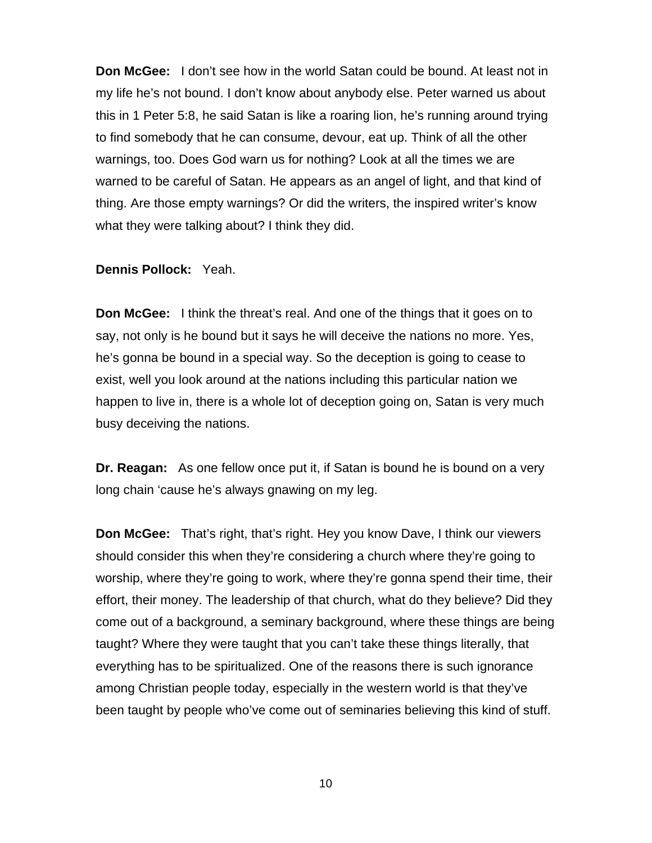**Don McGee:** I don't see how in the world Satan could be bound. At least not in my life he's not bound. I don't know about anybody else. Peter warned us about this in 1 Peter 5:8, he said Satan is like a roaring lion, he's running around trying to find somebody that he can consume, devour, eat up. Think of all the other warnings, too. Does God warn us for nothing? Look at all the times we are warned to be careful of Satan. He appears as an angel of light, and that kind of thing. Are those empty warnings? Or did the writers, the inspired writer's know what they were talking about? I think they did.

## **Dennis Pollock:** Yeah.

**Don McGee:** I think the threat's real. And one of the things that it goes on to say, not only is he bound but it says he will deceive the nations no more. Yes, he's gonna be bound in a special way. So the deception is going to cease to exist, well you look around at the nations including this particular nation we happen to live in, there is a whole lot of deception going on, Satan is very much busy deceiving the nations.

**Dr. Reagan:** As one fellow once put it, if Satan is bound he is bound on a very long chain 'cause he's always gnawing on my leg.

**Don McGee:** That's right, that's right. Hey you know Dave, I think our viewers should consider this when they're considering a church where they're going to worship, where they're going to work, where they're gonna spend their time, their effort, their money. The leadership of that church, what do they believe? Did they come out of a background, a seminary background, where these things are being taught? Where they were taught that you can't take these things literally, that everything has to be spiritualized. One of the reasons there is such ignorance among Christian people today, especially in the western world is that they've been taught by people who've come out of seminaries believing this kind of stuff.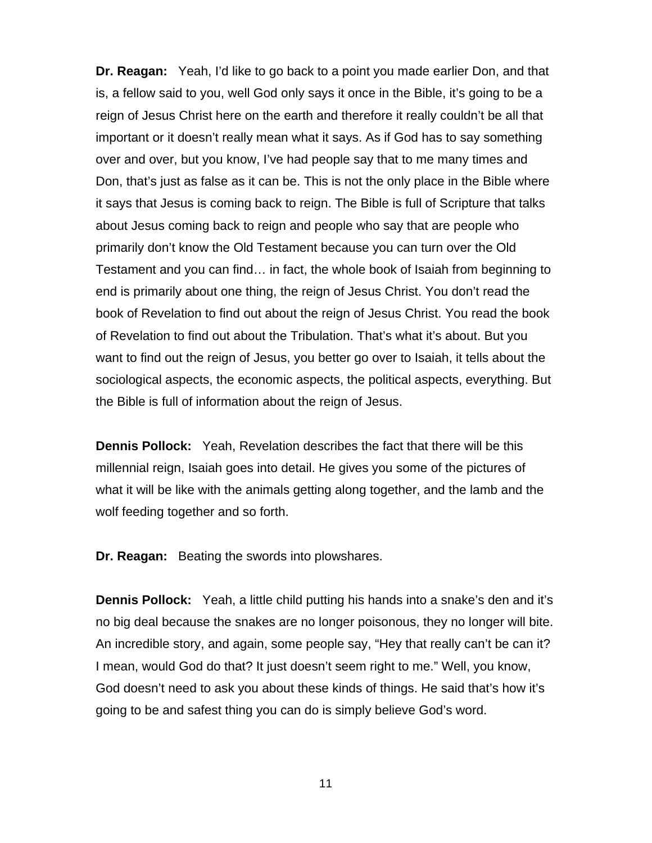**Dr. Reagan:** Yeah, I'd like to go back to a point you made earlier Don, and that is, a fellow said to you, well God only says it once in the Bible, it's going to be a reign of Jesus Christ here on the earth and therefore it really couldn't be all that important or it doesn't really mean what it says. As if God has to say something over and over, but you know, I've had people say that to me many times and Don, that's just as false as it can be. This is not the only place in the Bible where it says that Jesus is coming back to reign. The Bible is full of Scripture that talks about Jesus coming back to reign and people who say that are people who primarily don't know the Old Testament because you can turn over the Old Testament and you can find… in fact, the whole book of Isaiah from beginning to end is primarily about one thing, the reign of Jesus Christ. You don't read the book of Revelation to find out about the reign of Jesus Christ. You read the book of Revelation to find out about the Tribulation. That's what it's about. But you want to find out the reign of Jesus, you better go over to Isaiah, it tells about the sociological aspects, the economic aspects, the political aspects, everything. But the Bible is full of information about the reign of Jesus.

**Dennis Pollock:** Yeah, Revelation describes the fact that there will be this millennial reign, Isaiah goes into detail. He gives you some of the pictures of what it will be like with the animals getting along together, and the lamb and the wolf feeding together and so forth.

**Dr. Reagan:** Beating the swords into plowshares.

**Dennis Pollock:** Yeah, a little child putting his hands into a snake's den and it's no big deal because the snakes are no longer poisonous, they no longer will bite. An incredible story, and again, some people say, "Hey that really can't be can it? I mean, would God do that? It just doesn't seem right to me." Well, you know, God doesn't need to ask you about these kinds of things. He said that's how it's going to be and safest thing you can do is simply believe God's word.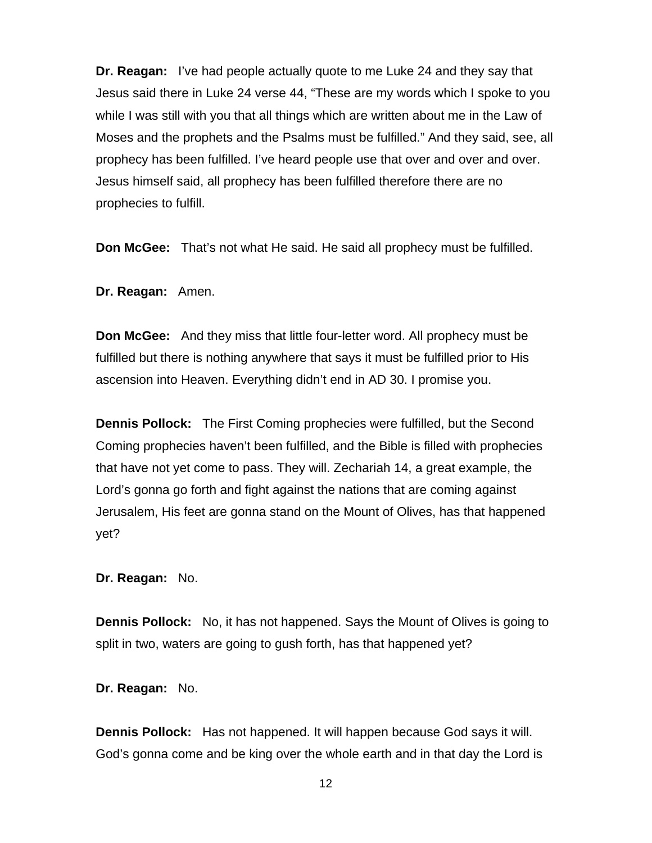**Dr. Reagan:** I've had people actually quote to me Luke 24 and they say that Jesus said there in Luke 24 verse 44, "These are my words which I spoke to you while I was still with you that all things which are written about me in the Law of Moses and the prophets and the Psalms must be fulfilled." And they said, see, all prophecy has been fulfilled. I've heard people use that over and over and over. Jesus himself said, all prophecy has been fulfilled therefore there are no prophecies to fulfill.

**Don McGee:** That's not what He said. He said all prophecy must be fulfilled.

**Dr. Reagan:** Amen.

**Don McGee:** And they miss that little four-letter word. All prophecy must be fulfilled but there is nothing anywhere that says it must be fulfilled prior to His ascension into Heaven. Everything didn't end in AD 30. I promise you.

**Dennis Pollock:** The First Coming prophecies were fulfilled, but the Second Coming prophecies haven't been fulfilled, and the Bible is filled with prophecies that have not yet come to pass. They will. Zechariah 14, a great example, the Lord's gonna go forth and fight against the nations that are coming against Jerusalem, His feet are gonna stand on the Mount of Olives, has that happened yet?

**Dr. Reagan:** No.

**Dennis Pollock:** No, it has not happened. Says the Mount of Olives is going to split in two, waters are going to gush forth, has that happened yet?

**Dr. Reagan:** No.

**Dennis Pollock:** Has not happened. It will happen because God says it will. God's gonna come and be king over the whole earth and in that day the Lord is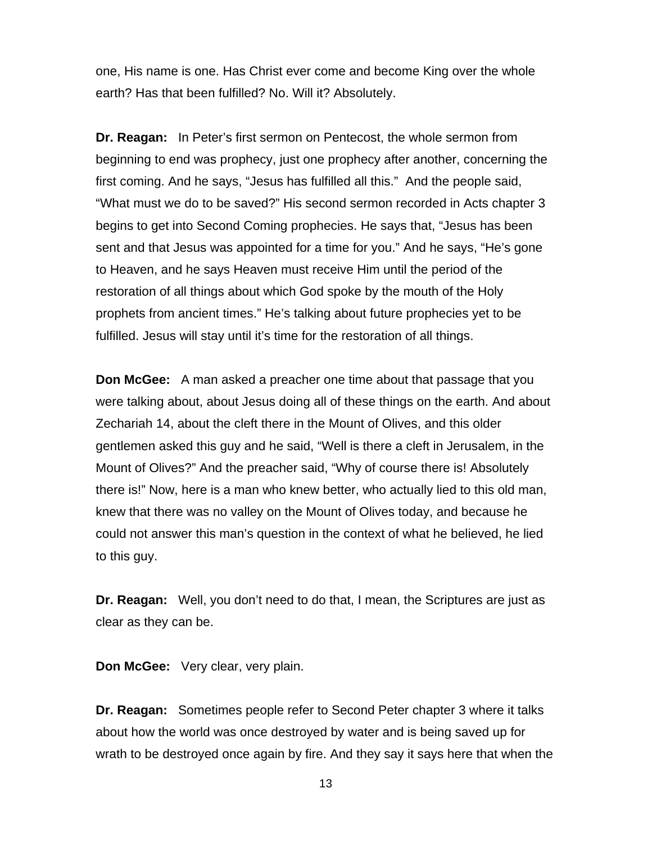one, His name is one. Has Christ ever come and become King over the whole earth? Has that been fulfilled? No. Will it? Absolutely.

**Dr. Reagan:** In Peter's first sermon on Pentecost, the whole sermon from beginning to end was prophecy, just one prophecy after another, concerning the first coming. And he says, "Jesus has fulfilled all this." And the people said, "What must we do to be saved?" His second sermon recorded in Acts chapter 3 begins to get into Second Coming prophecies. He says that, "Jesus has been sent and that Jesus was appointed for a time for you." And he says, "He's gone to Heaven, and he says Heaven must receive Him until the period of the restoration of all things about which God spoke by the mouth of the Holy prophets from ancient times." He's talking about future prophecies yet to be fulfilled. Jesus will stay until it's time for the restoration of all things.

**Don McGee:** A man asked a preacher one time about that passage that you were talking about, about Jesus doing all of these things on the earth. And about Zechariah 14, about the cleft there in the Mount of Olives, and this older gentlemen asked this guy and he said, "Well is there a cleft in Jerusalem, in the Mount of Olives?" And the preacher said, "Why of course there is! Absolutely there is!" Now, here is a man who knew better, who actually lied to this old man, knew that there was no valley on the Mount of Olives today, and because he could not answer this man's question in the context of what he believed, he lied to this guy.

**Dr. Reagan:** Well, you don't need to do that, I mean, the Scriptures are just as clear as they can be.

**Don McGee:** Very clear, very plain.

**Dr. Reagan:** Sometimes people refer to Second Peter chapter 3 where it talks about how the world was once destroyed by water and is being saved up for wrath to be destroyed once again by fire. And they say it says here that when the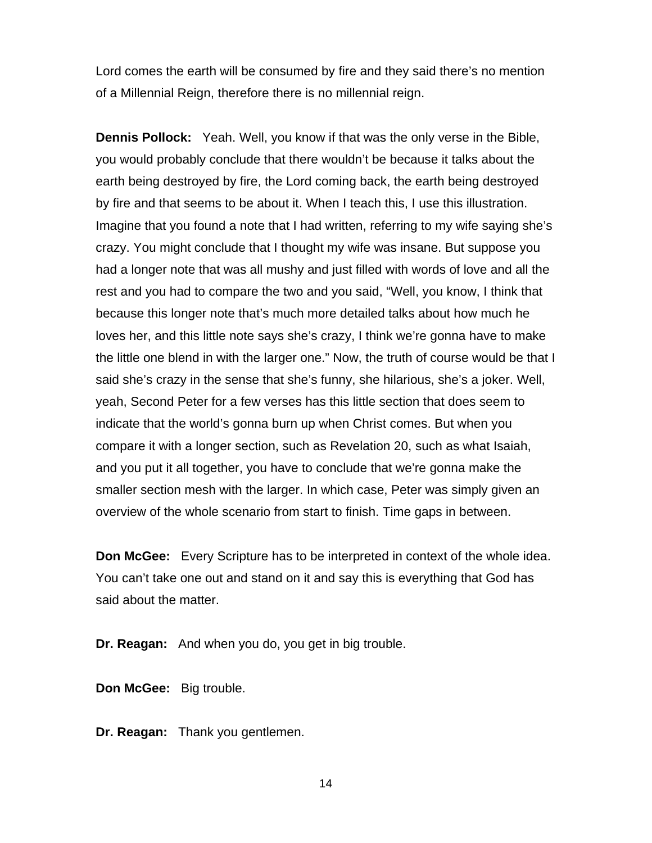Lord comes the earth will be consumed by fire and they said there's no mention of a Millennial Reign, therefore there is no millennial reign.

**Dennis Pollock:** Yeah. Well, you know if that was the only verse in the Bible, you would probably conclude that there wouldn't be because it talks about the earth being destroyed by fire, the Lord coming back, the earth being destroyed by fire and that seems to be about it. When I teach this, I use this illustration. Imagine that you found a note that I had written, referring to my wife saying she's crazy. You might conclude that I thought my wife was insane. But suppose you had a longer note that was all mushy and just filled with words of love and all the rest and you had to compare the two and you said, "Well, you know, I think that because this longer note that's much more detailed talks about how much he loves her, and this little note says she's crazy, I think we're gonna have to make the little one blend in with the larger one." Now, the truth of course would be that I said she's crazy in the sense that she's funny, she hilarious, she's a joker. Well, yeah, Second Peter for a few verses has this little section that does seem to indicate that the world's gonna burn up when Christ comes. But when you compare it with a longer section, such as Revelation 20, such as what Isaiah, and you put it all together, you have to conclude that we're gonna make the smaller section mesh with the larger. In which case, Peter was simply given an overview of the whole scenario from start to finish. Time gaps in between.

**Don McGee:** Every Scripture has to be interpreted in context of the whole idea. You can't take one out and stand on it and say this is everything that God has said about the matter.

**Dr. Reagan:** And when you do, you get in big trouble.

**Don McGee:** Big trouble.

**Dr. Reagan:** Thank you gentlemen.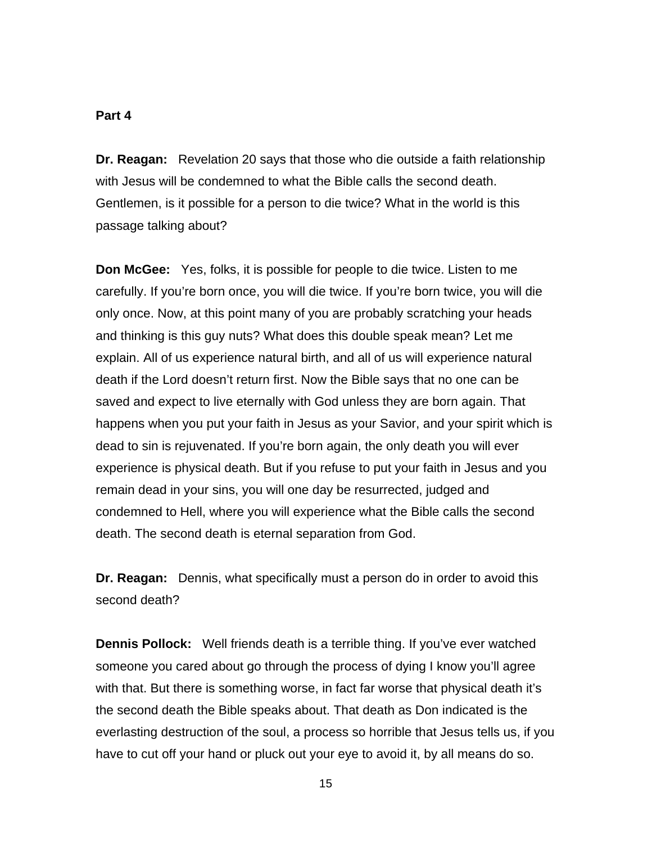#### **Part 4**

**Dr. Reagan:** Revelation 20 says that those who die outside a faith relationship with Jesus will be condemned to what the Bible calls the second death. Gentlemen, is it possible for a person to die twice? What in the world is this passage talking about?

**Don McGee:** Yes, folks, it is possible for people to die twice. Listen to me carefully. If you're born once, you will die twice. If you're born twice, you will die only once. Now, at this point many of you are probably scratching your heads and thinking is this guy nuts? What does this double speak mean? Let me explain. All of us experience natural birth, and all of us will experience natural death if the Lord doesn't return first. Now the Bible says that no one can be saved and expect to live eternally with God unless they are born again. That happens when you put your faith in Jesus as your Savior, and your spirit which is dead to sin is rejuvenated. If you're born again, the only death you will ever experience is physical death. But if you refuse to put your faith in Jesus and you remain dead in your sins, you will one day be resurrected, judged and condemned to Hell, where you will experience what the Bible calls the second death. The second death is eternal separation from God.

**Dr. Reagan:** Dennis, what specifically must a person do in order to avoid this second death?

**Dennis Pollock:** Well friends death is a terrible thing. If you've ever watched someone you cared about go through the process of dying I know you'll agree with that. But there is something worse, in fact far worse that physical death it's the second death the Bible speaks about. That death as Don indicated is the everlasting destruction of the soul, a process so horrible that Jesus tells us, if you have to cut off your hand or pluck out your eye to avoid it, by all means do so.